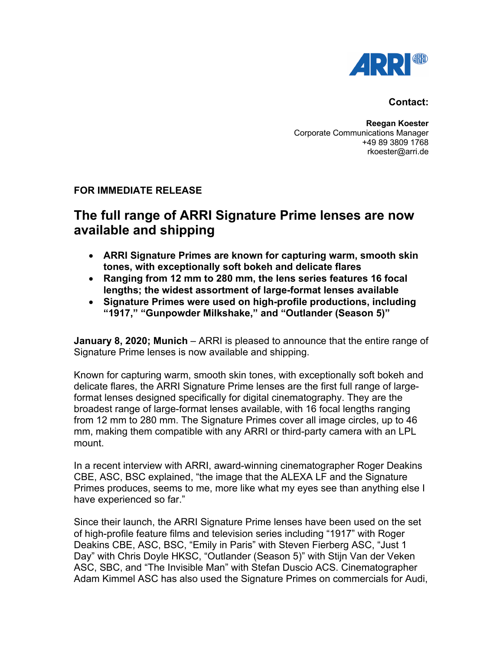

## **Contact:**

**Reegan Koester** Corporate Communications Manager +49 89 3809 1768 rkoester@arri.de

## **FOR IMMEDIATE RELEASE**

## **The full range of ARRI Signature Prime lenses are now available and shipping**

- **ARRI Signature Primes are known for capturing warm, smooth skin tones, with exceptionally soft bokeh and delicate flares**
- **Ranging from 12 mm to 280 mm, the lens series features 16 focal lengths; the widest assortment of large-format lenses available**
- **Signature Primes were used on high-profile productions, including "1917," "Gunpowder Milkshake," and "Outlander (Season 5)"**

**January 8, 2020; Munich** – ARRI is pleased to announce that the entire range of Signature Prime lenses is now available and shipping.

Known for capturing warm, smooth skin tones, with exceptionally soft bokeh and delicate flares, the ARRI Signature Prime lenses are the first full range of largeformat lenses designed specifically for digital cinematography. They are the broadest range of large-format lenses available, with 16 focal lengths ranging from 12 mm to 280 mm. The Signature Primes cover all image circles, up to 46 mm, making them compatible with any ARRI or third-party camera with an LPL mount.

In a recent interview with ARRI, award-winning cinematographer Roger Deakins CBE, ASC, BSC explained, "the image that the ALEXA LF and the Signature Primes produces, seems to me, more like what my eyes see than anything else I have experienced so far."

Since their launch, the ARRI Signature Prime lenses have been used on the set of high-profile feature films and television series including "1917" with Roger Deakins CBE, ASC, BSC, "Emily in Paris" with Steven Fierberg ASC, "Just 1 Day" with Chris Doyle HKSC, "Outlander (Season 5)" with Stijn Van der Veken ASC, SBC, and "The Invisible Man" with Stefan Duscio ACS. Cinematographer Adam Kimmel ASC has also used the Signature Primes on commercials for Audi,